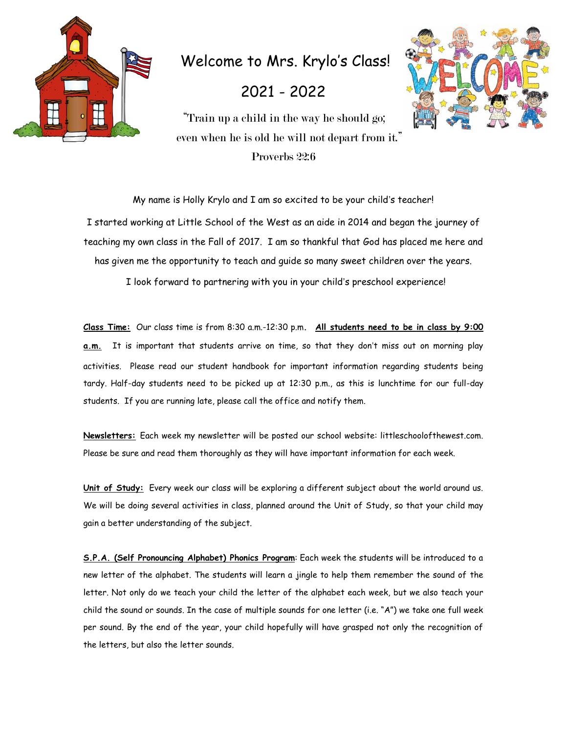

Welcome to Mrs. Krylo's Class!

2021 - 2022



"Train up a child in the way he should go; even when he is old he will not depart from it." Proverbs 22:6

My name is Holly Krylo and I am so excited to be your child's teacher! I started working at Little School of the West as an aide in 2014 and began the journey of teaching my own class in the Fall of 2017. I am so thankful that God has placed me here and has given me the opportunity to teach and guide so many sweet children over the years.

I look forward to partnering with you in your child's preschool experience!

**Class Time:** Our class time is from 8:30 a.m.-12:30 p.m**. All students need to be in class by 9:00 a.m.** It is important that students arrive on time, so that they don't miss out on morning play activities. Please read our student handbook for important information regarding students being tardy. Half-day students need to be picked up at 12:30 p.m., as this is lunchtime for our full-day students. If you are running late, please call the office and notify them.

**Newsletters:** Each week my newsletter will be posted our school website: littleschoolofthewest.com. Please be sure and read them thoroughly as they will have important information for each week.

**Unit of Study:** Every week our class will be exploring a different subject about the world around us. We will be doing several activities in class, planned around the Unit of Study, so that your child may gain a better understanding of the subject.

**S.P.A. (Self Pronouncing Alphabet) Phonics Program**: Each week the students will be introduced to a new letter of the alphabet. The students will learn a jingle to help them remember the sound of the letter. Not only do we teach your child the letter of the alphabet each week, but we also teach your child the sound or sounds. In the case of multiple sounds for one letter (i.e. "A") we take one full week per sound. By the end of the year, your child hopefully will have grasped not only the recognition of the letters, but also the letter sounds.